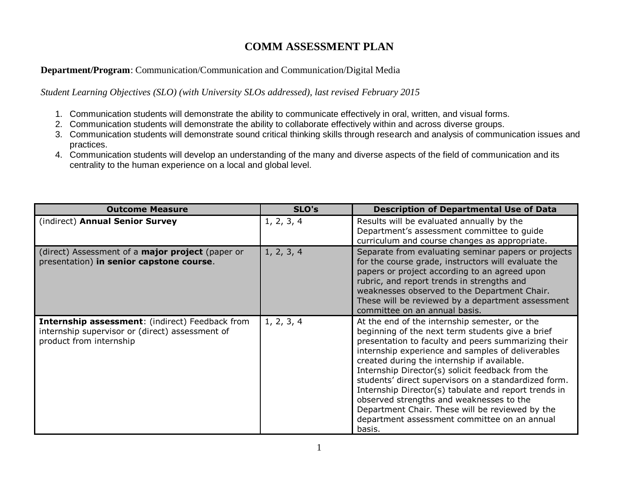## **COMM ASSESSMENT PLAN**

## **Department/Program**: Communication/Communication and Communication/Digital Media

*Student Learning Objectives (SLO) (with University SLOs addressed), last revised February 2015*

- 1. Communication students will demonstrate the ability to communicate effectively in oral, written, and visual forms.
- 2. Communication students will demonstrate the ability to collaborate effectively within and across diverse groups.
- 3. Communication students will demonstrate sound critical thinking skills through research and analysis of communication issues and practices.
- 4. Communication students will develop an understanding of the many and diverse aspects of the field of communication and its centrality to the human experience on a local and global level.

| <b>Outcome Measure</b>                                                                                                        | SLO's      | <b>Description of Departmental Use of Data</b>                                                                                                                                                                                                                                                                                                                                                                                                                                                                                                                                            |
|-------------------------------------------------------------------------------------------------------------------------------|------------|-------------------------------------------------------------------------------------------------------------------------------------------------------------------------------------------------------------------------------------------------------------------------------------------------------------------------------------------------------------------------------------------------------------------------------------------------------------------------------------------------------------------------------------------------------------------------------------------|
| (indirect) Annual Senior Survey                                                                                               | 1, 2, 3, 4 | Results will be evaluated annually by the<br>Department's assessment committee to guide<br>curriculum and course changes as appropriate.                                                                                                                                                                                                                                                                                                                                                                                                                                                  |
| (direct) Assessment of a <b>major project</b> (paper or<br>presentation) in senior capstone course.                           | 1, 2, 3, 4 | Separate from evaluating seminar papers or projects<br>for the course grade, instructors will evaluate the<br>papers or project according to an agreed upon<br>rubric, and report trends in strengths and<br>weaknesses observed to the Department Chair.<br>These will be reviewed by a department assessment<br>committee on an annual basis.                                                                                                                                                                                                                                           |
| Internship assessment: (indirect) Feedback from<br>internship supervisor or (direct) assessment of<br>product from internship | 1, 2, 3, 4 | At the end of the internship semester, or the<br>beginning of the next term students give a brief<br>presentation to faculty and peers summarizing their<br>internship experience and samples of deliverables<br>created during the internship if available.<br>Internship Director(s) solicit feedback from the<br>students' direct supervisors on a standardized form.<br>Internship Director(s) tabulate and report trends in<br>observed strengths and weaknesses to the<br>Department Chair. These will be reviewed by the<br>department assessment committee on an annual<br>basis. |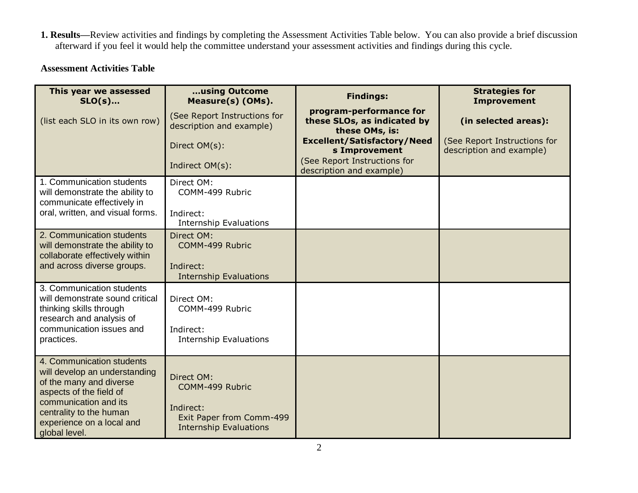**1. Results—**Review activities and findings by completing the Assessment Activities Table below. You can also provide a brief discussion afterward if you feel it would help the committee understand your assessment activities and findings during this cycle.

## **Assessment Activities Table**

| This year we assessed<br>$SLO(s)$                                                                                   | using Outcome<br>Measure(s) (OMs).                                     | <b>Findings:</b>                                                         | <b>Strategies for</b><br><b>Improvement</b>              |
|---------------------------------------------------------------------------------------------------------------------|------------------------------------------------------------------------|--------------------------------------------------------------------------|----------------------------------------------------------|
| (list each SLO in its own row)                                                                                      | (See Report Instructions for<br>description and example)               | program-performance for<br>these SLOs, as indicated by<br>these OMs, is: | (in selected areas):                                     |
|                                                                                                                     | Direct OM(s):                                                          | <b>Excellent/Satisfactory/Need</b><br>s Improvement                      | (See Report Instructions for<br>description and example) |
|                                                                                                                     | Indirect OM(s):                                                        | (See Report Instructions for<br>description and example)                 |                                                          |
| 1. Communication students<br>will demonstrate the ability to<br>communicate effectively in                          | Direct OM:<br>COMM-499 Rubric                                          |                                                                          |                                                          |
| oral, written, and visual forms.                                                                                    | Indirect:<br><b>Internship Evaluations</b>                             |                                                                          |                                                          |
| 2. Communication students<br>will demonstrate the ability to<br>collaborate effectively within                      | Direct OM:<br>COMM-499 Rubric                                          |                                                                          |                                                          |
| and across diverse groups.                                                                                          | Indirect:<br><b>Internship Evaluations</b>                             |                                                                          |                                                          |
| 3. Communication students<br>will demonstrate sound critical<br>thinking skills through<br>research and analysis of | Direct OM:<br>COMM-499 Rubric                                          |                                                                          |                                                          |
| communication issues and<br>practices.                                                                              | Indirect:<br><b>Internship Evaluations</b>                             |                                                                          |                                                          |
| 4. Communication students<br>will develop an understanding<br>of the many and diverse<br>aspects of the field of    | Direct OM:<br>COMM-499 Rubric                                          |                                                                          |                                                          |
| communication and its<br>centrality to the human<br>experience on a local and<br>global level.                      | Indirect:<br>Exit Paper from Comm-499<br><b>Internship Evaluations</b> |                                                                          |                                                          |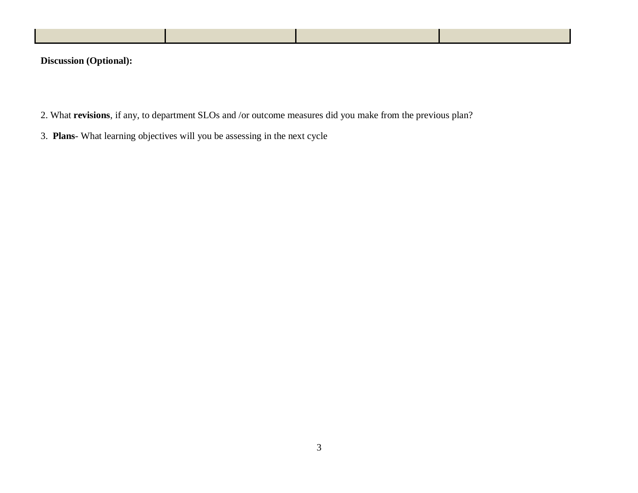**Discussion (Optional):** 

- 2. What **revisions**, if any, to department SLOs and /or outcome measures did you make from the previous plan?
- 3. **Plans** What learning objectives will you be assessing in the next cycle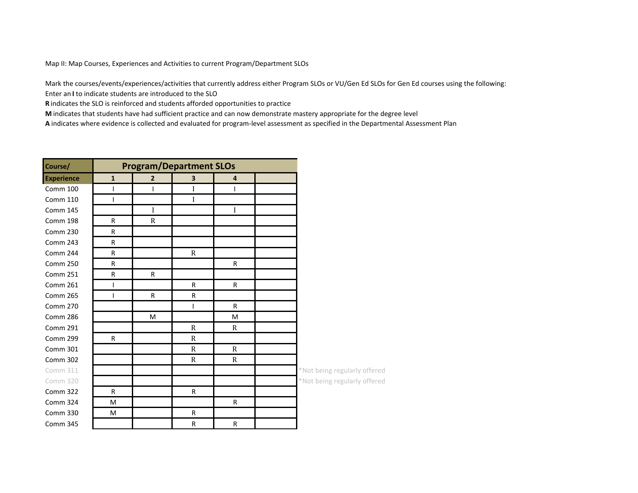Map II: Map Courses, Experiences and Activities to current Program/Department SLOs

Mark the courses/events/experiences/activities that currently address either Program SLOs or VU/Gen Ed SLOs for Gen Ed courses using the following:

Enter an I to indicate students are introduced to the SLO

**R** indicates the SLO is reinforced and students afforded opportunities to practice

**M** indicates that students have had sufficient practice and can now demonstrate mastery appropriate for the degree level

A indicates where evidence is collected and evaluated for program-level assessment as specified in the Departmental Assessment Plan

| Course/           | <b>Program/Department SLOs</b> |                |              |              |  |                              |
|-------------------|--------------------------------|----------------|--------------|--------------|--|------------------------------|
| <b>Experience</b> | $\mathbf{1}$                   | $\overline{2}$ | 3            | 4            |  |                              |
| Comm 100          |                                | I              | I            | I            |  |                              |
| <b>Comm 110</b>   |                                |                | I            |              |  |                              |
| <b>Comm 145</b>   |                                | I              |              | I            |  |                              |
| Comm 198          | R                              | $\mathbb{R}$   |              |              |  |                              |
| Comm 230          | R                              |                |              |              |  |                              |
| Comm 243          | R                              |                |              |              |  |                              |
| Comm 244          | R                              |                | $\mathbb{R}$ |              |  |                              |
| Comm 250          | R                              |                |              | ${\sf R}$    |  |                              |
| Comm 251          | R                              | R              |              |              |  |                              |
| <b>Comm 261</b>   |                                |                | $\mathsf{R}$ | R            |  |                              |
| <b>Comm 265</b>   | I                              | $\mathsf{R}$   | $\mathsf{R}$ |              |  |                              |
| <b>Comm 270</b>   |                                |                | I            | R            |  |                              |
| Comm 286          |                                | M              |              | M            |  |                              |
| <b>Comm 291</b>   |                                |                | $\mathbb{R}$ | R            |  |                              |
| Comm 299          | R                              |                | $\mathbb{R}$ |              |  |                              |
| Comm 301          |                                |                | $\mathbb{R}$ | $\mathbb{R}$ |  |                              |
| Comm 302          |                                |                | $\mathbb{R}$ | $\mathbf R$  |  |                              |
| Comm 311          |                                |                |              |              |  | *Not being regularly offered |
| Comm 320          |                                |                |              |              |  | *Not being regularly offered |
| <b>Comm 322</b>   | $\mathsf{R}$                   |                | $\mathsf{R}$ |              |  |                              |
| Comm 324          | M                              |                |              | R            |  |                              |
| <b>Comm 330</b>   | M                              |                | $\mathsf{R}$ |              |  |                              |
| Comm 345          |                                |                | $\mathsf{R}$ | $\mathsf{R}$ |  |                              |